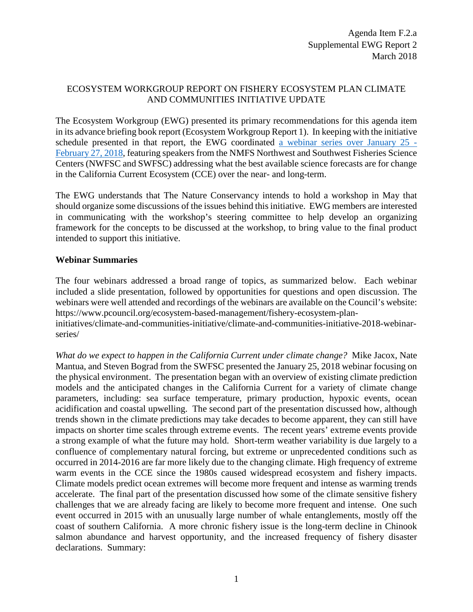## ECOSYSTEM WORKGROUP REPORT ON FISHERY ECOSYSTEM PLAN CLIMATE AND COMMUNITIES INITIATIVE UPDATE

The Ecosystem Workgroup (EWG) presented its primary recommendations for this agenda item in its advance briefing book report (Ecosystem Workgroup Report 1). In keeping with the initiative schedule presented in that report, the EWG coordinated a webinar [series over January 25 -](https://www.pcouncil.org/2018/01/51541/51541/) [February 27, 2018,](https://www.pcouncil.org/2018/01/51541/51541/) featuring speakers from the NMFS Northwest and Southwest Fisheries Science Centers (NWFSC and SWFSC) addressing what the best available science forecasts are for change in the California Current Ecosystem (CCE) over the near- and long-term.

The EWG understands that The Nature Conservancy intends to hold a workshop in May that should organize some discussions of the issues behind this initiative. EWG members are interested in communicating with the workshop's steering committee to help develop an organizing framework for the concepts to be discussed at the workshop, to bring value to the final product intended to support this initiative.

## **Webinar Summaries**

The four webinars addressed a broad range of topics, as summarized below. Each webinar included a slide presentation, followed by opportunities for questions and open discussion. The webinars were well attended and recordings of the webinars are available on the Council's website: https://www.pcouncil.org/ecosystem-based-management/fishery-ecosystem-plan-

initiatives/climate-and-communities-initiative/climate-and-communities-initiative-2018-webinarseries/

*What do we expect to happen in the California Current under climate change?* Mike Jacox, Nate Mantua, and Steven Bograd from the SWFSC presented the January 25, 2018 webinar focusing on the physical environment. The presentation began with an overview of existing climate prediction models and the anticipated changes in the California Current for a variety of climate change parameters, including: sea surface temperature, primary production, hypoxic events, ocean acidification and coastal upwelling. The second part of the presentation discussed how, although trends shown in the climate predictions may take decades to become apparent, they can still have impacts on shorter time scales through extreme events. The recent years' extreme events provide a strong example of what the future may hold. Short-term weather variability is due largely to a confluence of complementary natural forcing, but extreme or unprecedented conditions such as occurred in 2014-2016 are far more likely due to the changing climate. High frequency of extreme warm events in the CCE since the 1980s caused widespread ecosystem and fishery impacts. Climate models predict ocean extremes will become more frequent and intense as warming trends accelerate. The final part of the presentation discussed how some of the climate sensitive fishery challenges that we are already facing are likely to become more frequent and intense. One such event occurred in 2015 with an unusually large number of whale entanglements, mostly off the coast of southern California. A more chronic fishery issue is the long-term decline in Chinook salmon abundance and harvest opportunity, and the increased frequency of fishery disaster declarations. Summary: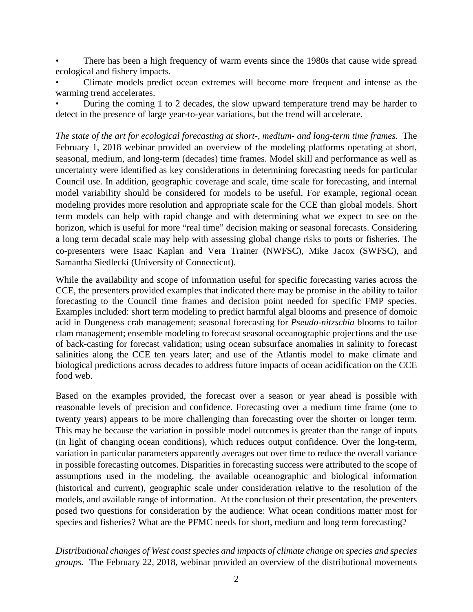There has been a high frequency of warm events since the 1980s that cause wide spread ecological and fishery impacts.

• Climate models predict ocean extremes will become more frequent and intense as the warming trend accelerates.

• During the coming 1 to 2 decades, the slow upward temperature trend may be harder to detect in the presence of large year-to-year variations, but the trend will accelerate.

*The state of the art for ecological forecasting at short-, medium- and long-term time frames*. The February 1, 2018 webinar provided an overview of the modeling platforms operating at short, seasonal, medium, and long-term (decades) time frames. Model skill and performance as well as uncertainty were identified as key considerations in determining forecasting needs for particular Council use. In addition, geographic coverage and scale, time scale for forecasting, and internal model variability should be considered for models to be useful. For example, regional ocean modeling provides more resolution and appropriate scale for the CCE than global models. Short term models can help with rapid change and with determining what we expect to see on the horizon, which is useful for more "real time" decision making or seasonal forecasts. Considering a long term decadal scale may help with assessing global change risks to ports or fisheries. The co-presenters were Isaac Kaplan and Vera Trainer (NWFSC), Mike Jacox (SWFSC), and Samantha Siedlecki (University of Connecticut).

While the availability and scope of information useful for specific forecasting varies across the CCE, the presenters provided examples that indicated there may be promise in the ability to tailor forecasting to the Council time frames and decision point needed for specific FMP species. Examples included: short term modeling to predict harmful algal blooms and presence of domoic acid in Dungeness crab management; seasonal forecasting for *Pseudo-nitzschia* blooms to tailor clam management; ensemble modeling to forecast seasonal oceanographic projections and the use of back-casting for forecast validation; using ocean subsurface anomalies in salinity to forecast salinities along the CCE ten years later; and use of the Atlantis model to make climate and biological predictions across decades to address future impacts of ocean acidification on the CCE food web.

Based on the examples provided, the forecast over a season or year ahead is possible with reasonable levels of precision and confidence. Forecasting over a medium time frame (one to twenty years) appears to be more challenging than forecasting over the shorter or longer term. This may be because the variation in possible model outcomes is greater than the range of inputs (in light of changing ocean conditions), which reduces output confidence. Over the long-term, variation in particular parameters apparently averages out over time to reduce the overall variance in possible forecasting outcomes. Disparities in forecasting success were attributed to the scope of assumptions used in the modeling, the available oceanographic and biological information (historical and current), geographic scale under consideration relative to the resolution of the models, and available range of information. At the conclusion of their presentation, the presenters posed two questions for consideration by the audience: What ocean conditions matter most for species and fisheries? What are the PFMC needs for short, medium and long term forecasting?

*Distributional changes of West coast species and impacts of climate change on species and species groups.* The February 22, 2018, webinar provided an overview of the distributional movements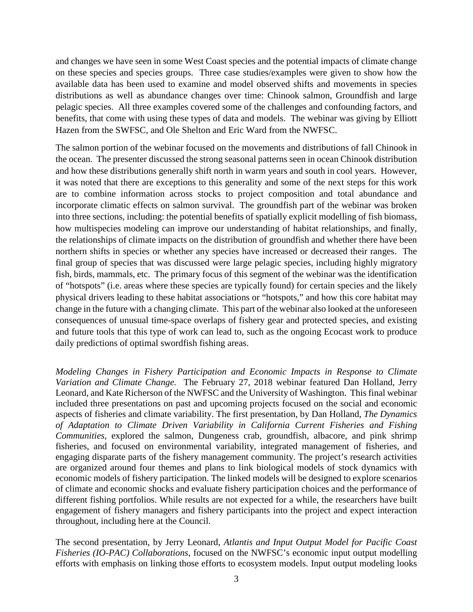and changes we have seen in some West Coast species and the potential impacts of climate change on these species and species groups. Three case studies/examples were given to show how the available data has been used to examine and model observed shifts and movements in species distributions as well as abundance changes over time: Chinook salmon, Groundfish and large pelagic species. All three examples covered some of the challenges and confounding factors, and benefits, that come with using these types of data and models. The webinar was giving by Elliott Hazen from the SWFSC, and Ole Shelton and Eric Ward from the NWFSC.

The salmon portion of the webinar focused on the movements and distributions of fall Chinook in the ocean. The presenter discussed the strong seasonal patterns seen in ocean Chinook distribution and how these distributions generally shift north in warm years and south in cool years. However, it was noted that there are exceptions to this generality and some of the next steps for this work are to combine information across stocks to project composition and total abundance and incorporate climatic effects on salmon survival. The groundfish part of the webinar was broken into three sections, including: the potential benefits of spatially explicit modelling of fish biomass, how multispecies modeling can improve our understanding of habitat relationships, and finally, the relationships of climate impacts on the distribution of groundfish and whether there have been northern shifts in species or whether any species have increased or decreased their ranges. The final group of species that was discussed were large pelagic species, including highly migratory fish, birds, mammals, etc. The primary focus of this segment of the webinar was the identification of "hotspots" (i.e. areas where these species are typically found) for certain species and the likely physical drivers leading to these habitat associations or "hotspots," and how this core habitat may change in the future with a changing climate. This part of the webinar also looked at the unforeseen consequences of unusual time-space overlaps of fishery gear and protected species, and existing and future tools that this type of work can lead to, such as the ongoing Ecocast work to produce daily predictions of optimal swordfish fishing areas.

*Modeling Changes in Fishery Participation and Economic Impacts in Response to Climate Variation and Climate Change.* The February 27, 2018 webinar featured Dan Holland, Jerry Leonard, and Kate Richerson of the NWFSC and the University of Washington. Thisfinal webinar included three presentations on past and upcoming projects focused on the social and economic aspects of fisheries and climate variability. The first presentation, by Dan Holland, *The Dynamics of Adaptation to Climate Driven Variability in California Current Fisheries and Fishing Communities*, explored the salmon, Dungeness crab, groundfish, albacore, and pink shrimp fisheries, and focused on environmental variability, integrated management of fisheries, and engaging disparate parts of the fishery management community. The project's research activities are organized around four themes and plans to link biological models of stock dynamics with economic models of fishery participation. The linked models will be designed to explore scenarios of climate and economic shocks and evaluate fishery participation choices and the performance of different fishing portfolios. While results are not expected for a while, the researchers have built engagement of fishery managers and fishery participants into the project and expect interaction throughout, including here at the Council.

The second presentation, by Jerry Leonard, *Atlantis and Input Output Model for Pacific Coast Fisheries (IO-PAC) Collaborations*, focused on the NWFSC's economic input output modelling efforts with emphasis on linking those efforts to ecosystem models. Input output modeling looks